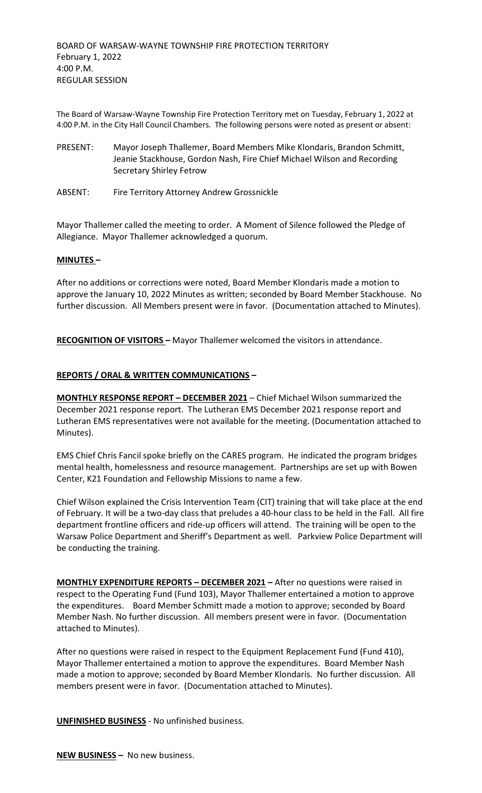The Board of Warsaw-Wayne Township Fire Protection Territory met on Tuesday, February 1, 2022 at 4:00 P.M. in the City Hall Council Chambers. The following persons were noted as present or absent:

- PRESENT: Mayor Joseph Thallemer, Board Members Mike Klondaris, Brandon Schmitt, Jeanie Stackhouse, Gordon Nash, Fire Chief Michael Wilson and Recording Secretary Shirley Fetrow
- ABSENT: Fire Territory Attorney Andrew Grossnickle

Mayor Thallemer called the meeting to order. A Moment of Silence followed the Pledge of Allegiance. Mayor Thallemer acknowledged a quorum.

#### **MINUTES –**

After no additions or corrections were noted, Board Member Klondaris made a motion to approve the January 10, 2022 Minutes as written; seconded by Board Member Stackhouse. No further discussion. All Members present were in favor. (Documentation attached to Minutes).

**RECOGNITION OF VISITORS –** Mayor Thallemer welcomed the visitors in attendance.

### **REPORTS / ORAL & WRITTEN COMMUNICATIONS –**

**MONTHLY RESPONSE REPORT – DECEMBER 2021** – Chief Michael Wilson summarized the December 2021 response report. The Lutheran EMS December 2021 response report and Lutheran EMS representatives were not available for the meeting. (Documentation attached to Minutes).

EMS Chief Chris Fancil spoke briefly on the CARES program. He indicated the program bridges mental health, homelessness and resource management. Partnerships are set up with Bowen Center, K21 Foundation and Fellowship Missions to name a few.

Chief Wilson explained the Crisis Intervention Team (CIT) training that will take place at the end of February. It will be a two-day class that preludes a 40-hour class to be held in the Fall. All fire department frontline officers and ride-up officers will attend. The training will be open to the Warsaw Police Department and Sheriff's Department as well. Parkview Police Department will be conducting the training.

**MONTHLY EXPENDITURE REPORTS – DECEMBER 2021 –** After no questions were raised in respect to the Operating Fund (Fund 103), Mayor Thallemer entertained a motion to approve the expenditures. Board Member Schmitt made a motion to approve; seconded by Board Member Nash. No further discussion. All members present were in favor. (Documentation attached to Minutes).

After no questions were raised in respect to the Equipment Replacement Fund (Fund 410), Mayor Thallemer entertained a motion to approve the expenditures. Board Member Nash made a motion to approve; seconded by Board Member Klondaris. No further discussion. All members present were in favor. (Documentation attached to Minutes).

**UNFINISHED BUSINESS** - No unfinished business.

**NEW BUSINESS –** No new business.